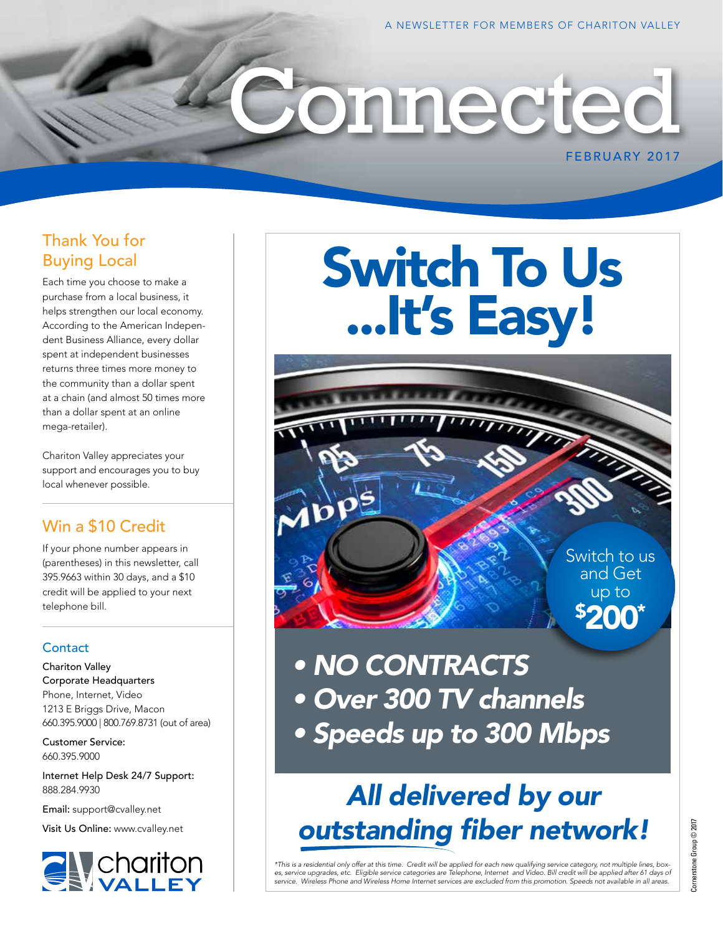#### Thank You for Buying Local

Each time you choose to make a purchase from a local business, it helps strengthen our local economy. According to the American Independent Business Alliance, every dollar spent at independent businesses returns three times more money to the community than a dollar spent at a chain (and almost 50 times more than a dollar spent at an online mega-retailer).

Chariton Valley appreciates your support and encourages you to buy local whenever possible.

#### Win a \$10 Credit

If your phone number appears in (parentheses) in this newsletter, call 395.9663 within 30 days, and a \$10 credit will be applied to your next telephone bill.

#### **Contact**

Chariton Valley Corporate Headquarters Phone, Internet, Video 1213 E Briggs Drive, Macon 660.395.9000 | 800.769.8731 (out of area)

Customer Service: 660.395.9000

Internet Help Desk 24/7 Support: 888.284.9930

Email: support@cvalley.net

Visit Us Online: www.cvalley.net



## Switch To Us ...It's Easy!

**onnected** 

Switch to us and Get up to \$ 200\*

FEBRUARY 2017

*• NO CONTRACTS • Over 300 TV channels • Speeds up to 300 Mbps*

## *All delivered by our outstanding fiber network!*

\*This is a residential only offer at this time. Credit will be applied for each new qualifying service category, not multiple lines, box-<br>es, service upgrades, etc. Eligible service categories are Telephone, Internet and V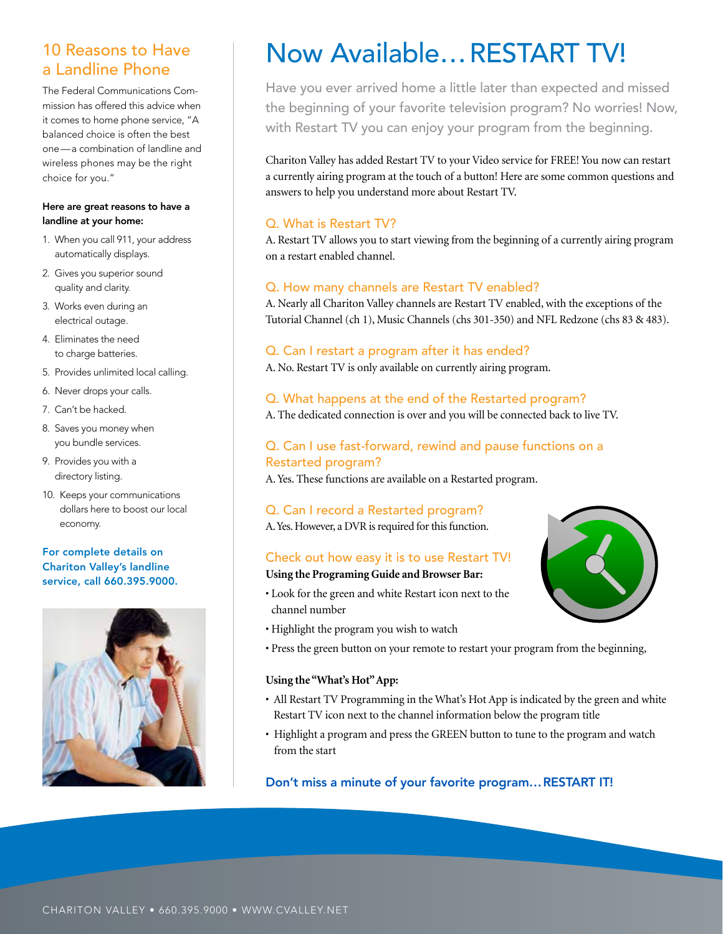#### 10 Reasons to Have a Landline Phone

The Federal Communications Commission has offered this advice when it comes to home phone service, "A balanced choice is often the best one—a combination of landline and wireless phones may be the right choice for you."

#### Here are great reasons to have a landline at your home:

- 1. When you call 911, your address automatically displays.
- 2. Gives you superior sound quality and clarity.
- 3. Works even during an electrical outage.
- 4. Eliminates the need to charge batteries.
- 5. Provides unlimited local calling.
- 6. Never drops your calls.
- 7. Can't be hacked.
- 8. Saves you money when you bundle services.
- 9. Provides you with a directory listing.
- 10. Keeps your communications dollars here to boost our local economy.

#### For complete details on Chariton Valley's landline service, call 660.395.9000.



## Now Available…RESTART TV!

Have you ever arrived home a little later than expected and missed the beginning of your favorite television program? No worries! Now, with Restart TV you can enjoy your program from the beginning.

Chariton Valley has added Restart TV to your Video service for FREE! You now can restart a currently airing program at the touch of a button! Here are some common questions and answers to help you understand more about Restart TV.

#### Q. What is Restart TV?

A. Restart TV allows you to start viewing from the beginning of a currently airing program on a restart enabled channel.

#### Q. How many channels are Restart TV enabled?

A. Nearly all Chariton Valley channels are Restart TV enabled, with the exceptions of the Tutorial Channel (ch 1), Music Channels (chs 301-350) and NFL Redzone (chs 83 & 483).

#### Q. Can I restart a program after it has ended?

A. No. Restart TV is only available on currently airing program.

#### Q. What happens at the end of the Restarted program?

A. The dedicated connection is over and you will be connected back to live TV.

#### Q. Can I use fast-forward, rewind and pause functions on a Restarted program?

A. Yes. These functions are available on a Restarted program.

#### Q. Can I record a Restarted program?

A. Yes. However, a DVR is required for this function.

#### Check out how easy it is to use Restart TV!

#### **Using the Programing Guide and Browser Bar:**

- Look for the green and white Restart icon next to the channel number
- Highlight the program you wish to watch
- Press the green button on your remote to restart your program from the beginning,

#### **Using the "What's Hot" App:**

- All Restart TV Programming in the What's Hot App is indicated by the green and white Restart TV icon next to the channel information below the program title
- Highlight a program and press the GREEN button to tune to the program and watch from the start

Don't miss a minute of your favorite program…RESTART IT!

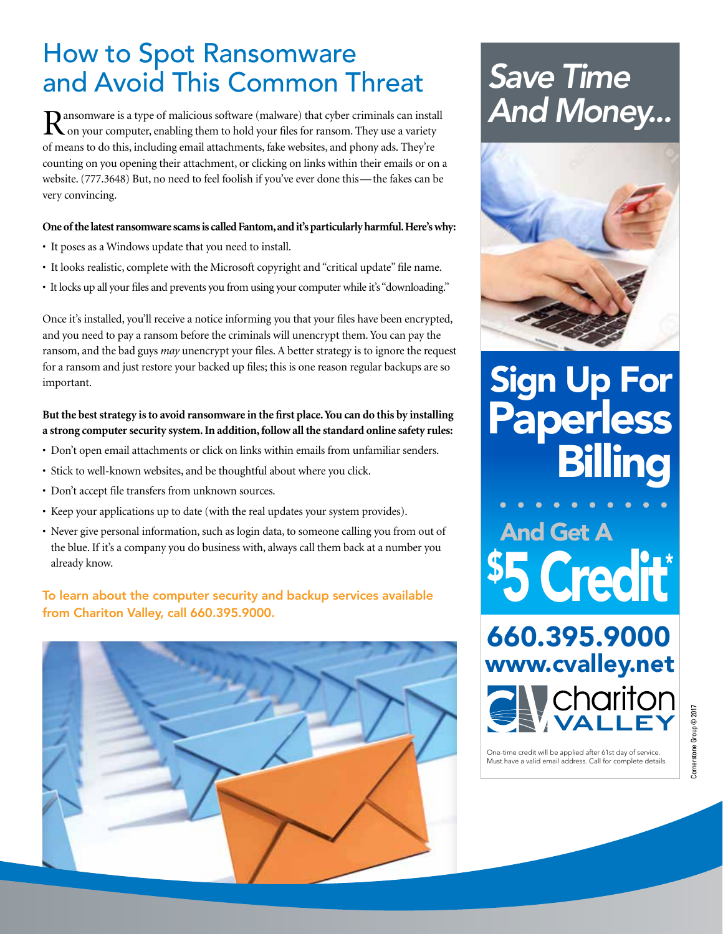### How to Spot Ransomware and Avoid This Common Threat

Ransomware is a type of malicious software (malware) that cyber criminals can install on your computer, enabling them to hold your files for ransom. They use a variety of means to do this, including email attachments, fake websites, and phony ads. They're counting on you opening their attachment, or clicking on links within their emails or on a website. (777.3648) But, no need to feel foolish if you've ever done this—the fakes can be very convincing.

#### **One of the latest ransomware scams is called Fantom, and it's particularly harmful. Here's why:**

- It poses as a Windows update that you need to install.
- It looks realistic, complete with the Microsoft copyright and "critical update" file name.
- It locks up all your files and prevents you from using your computer while it's "downloading."

Once it's installed, you'll receive a notice informing you that your files have been encrypted, and you need to pay a ransom before the criminals will unencrypt them. You can pay the ransom, and the bad guys *may* unencrypt your files. A better strategy is to ignore the request for a ransom and just restore your backed up files; this is one reason regular backups are so important.

#### **But the best strategy is to avoid ransomware in the first place. You can do this by installing a strong computer security system. In addition, follow all the standard online safety rules:**

- Don't open email attachments or click on links within emails from unfamiliar senders.
- Stick to well-known websites, and be thoughtful about where you click.
- Don't accept file transfers from unknown sources.
- Keep your applications up to date (with the real updates your system provides).
- Never give personal information, such as login data, to someone calling you from out of the blue. If it's a company you do business with, always call them back at a number you already know.

#### To learn about the computer security and backup services available from Chariton Valley, call 660.395.9000.



## *Save Time And Money...*



# Sign Up For Paperless

\$5 Credit\* And Get A

660.395.9000 www.cvalley.net chariton

One-time credit will be applied after 61st day of service. Must have a valid email address. Call for complete details.